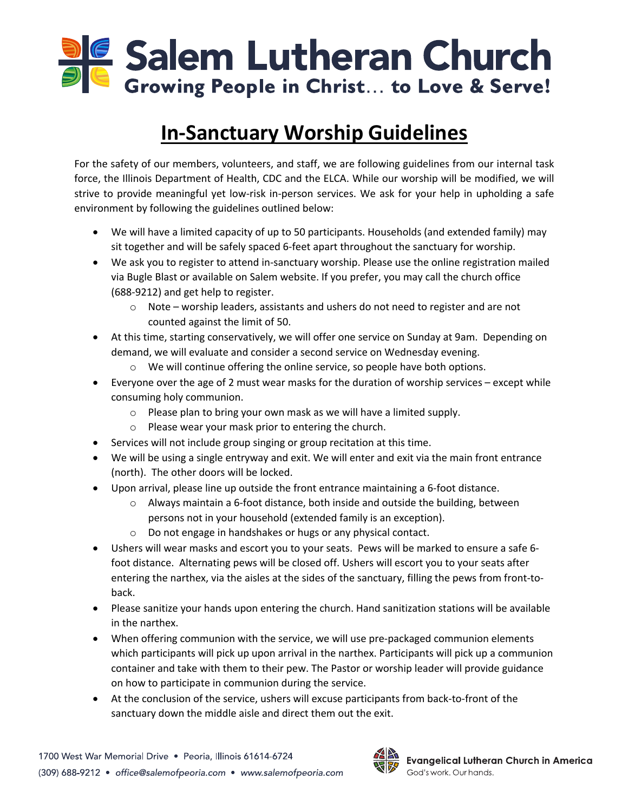## **Salem Lutheran Church**<br>Growing People in Christ... to Love & Serve!

## **In-Sanctuary Worship Guidelines**

For the safety of our members, volunteers, and staff, we are following guidelines from our internal task force, the Illinois Department of Health, CDC and the ELCA. While our worship will be modified, we will strive to provide meaningful yet low-risk in-person services. We ask for your help in upholding a safe environment by following the guidelines outlined below:

- We will have a limited capacity of up to 50 participants. Households (and extended family) may sit together and will be safely spaced 6-feet apart throughout the sanctuary for worship.
- We ask you to register to attend in-sanctuary worship. Please use the online registration mailed via Bugle Blast or available on Salem website. If you prefer, you may call the church office (688-9212) and get help to register.
	- $\circ$  Note worship leaders, assistants and ushers do not need to register and are not counted against the limit of 50.
- At this time, starting conservatively, we will offer one service on Sunday at 9am. Depending on demand, we will evaluate and consider a second service on Wednesday evening.
	- o We will continue offering the online service, so people have both options.
- Everyone over the age of 2 must wear masks for the duration of worship services except while consuming holy communion.
	- o Please plan to bring your own mask as we will have a limited supply.
	- o Please wear your mask prior to entering the church.
- Services will not include group singing or group recitation at this time.
- We will be using a single entryway and exit. We will enter and exit via the main front entrance (north). The other doors will be locked.
- Upon arrival, please line up outside the front entrance maintaining a 6-foot distance.
	- $\circ$  Always maintain a 6-foot distance, both inside and outside the building, between persons not in your household (extended family is an exception).
	- o Do not engage in handshakes or hugs or any physical contact.
- Ushers will wear masks and escort you to your seats. Pews will be marked to ensure a safe 6 foot distance. Alternating pews will be closed off. Ushers will escort you to your seats after entering the narthex, via the aisles at the sides of the sanctuary, filling the pews from front-toback.
- Please sanitize your hands upon entering the church. Hand sanitization stations will be available in the narthex.
- When offering communion with the service, we will use pre-packaged communion elements which participants will pick up upon arrival in the narthex. Participants will pick up a communion container and take with them to their pew. The Pastor or worship leader will provide guidance on how to participate in communion during the service.
- At the conclusion of the service, ushers will excuse participants from back-to-front of the sanctuary down the middle aisle and direct them out the exit.